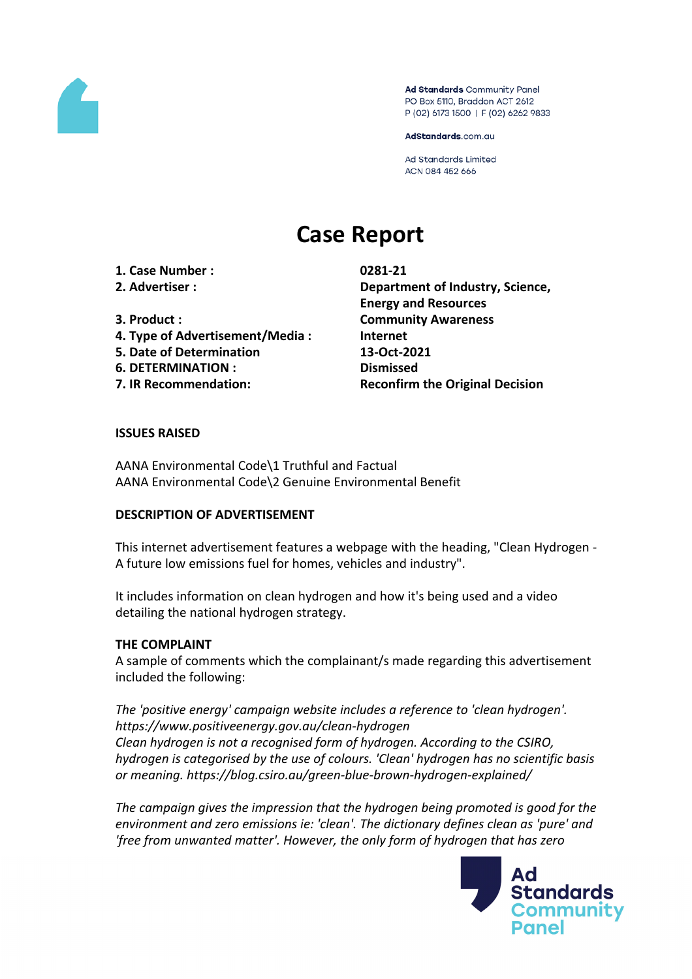

Ad Standards Community Panel PO Box 5110, Braddon ACT 2612 P (02) 6173 1500 | F (02) 6262 9833

AdStandards.com.au

**Ad Standards Limited** ACN 084 452 666

# **Case Report**

**1. Case Number : 0281-21**

- 
- 
- **4. Type of Advertisement/Media : Internet**
- **5. Date of Determination 13-Oct-2021**
- **6. DETERMINATION : Dismissed**
- 

**2. Advertiser : Department of Industry, Science, Energy and Resources 3. Product : Community Awareness 7. IR Recommendation: Reconfirm the Original Decision**

## **ISSUES RAISED**

AANA Environmental Code\1 Truthful and Factual AANA Environmental Code\2 Genuine Environmental Benefit

## **DESCRIPTION OF ADVERTISEMENT**

This internet advertisement features a webpage with the heading, "Clean Hydrogen - A future low emissions fuel for homes, vehicles and industry".

It includes information on clean hydrogen and how it's being used and a video detailing the national hydrogen strategy.

# **THE COMPLAINT**

A sample of comments which the complainant/s made regarding this advertisement included the following:

*The 'positive energy' campaign website includes a reference to 'clean hydrogen'. https://www.positiveenergy.gov.au/clean-hydrogen Clean hydrogen is not a recognised form of hydrogen. According to the CSIRO, hydrogen is categorised by the use of colours. 'Clean' hydrogen has no scientific basis or meaning. https://blog.csiro.au/green-blue-brown-hydrogen-explained/*

*The campaign gives the impression that the hydrogen being promoted is good for the environment and zero emissions ie: 'clean'. The dictionary defines clean as 'pure' and 'free from unwanted matter'. However, the only form of hydrogen that has zero*

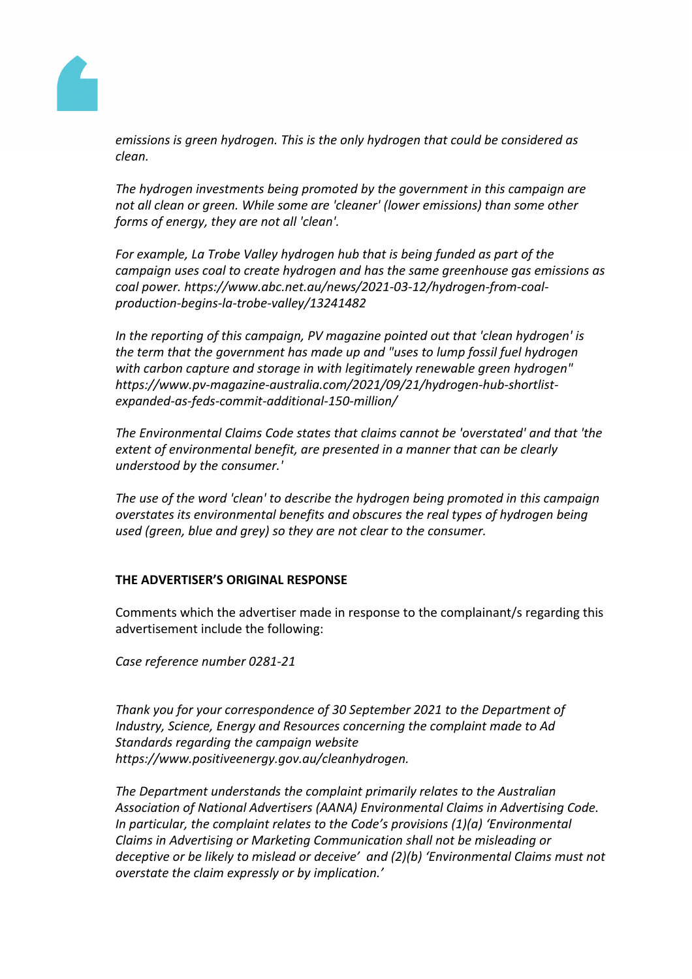

*emissions is green hydrogen. This is the only hydrogen that could be considered as clean.*

*The hydrogen investments being promoted by the government in this campaign are not all clean or green. While some are 'cleaner' (lower emissions) than some other forms of energy, they are not all 'clean'.*

*For example, La Trobe Valley hydrogen hub that is being funded as part of the campaign uses coal to create hydrogen and has the same greenhouse gas emissions as coal power. https://www.abc.net.au/news/2021-03-12/hydrogen-from-coalproduction-begins-la-trobe-valley/13241482*

*In the reporting of this campaign, PV magazine pointed out that 'clean hydrogen' is the term that the government has made up and "uses to lump fossil fuel hydrogen with carbon capture and storage in with legitimately renewable green hydrogen" https://www.pv-magazine-australia.com/2021/09/21/hydrogen-hub-shortlistexpanded-as-feds-commit-additional-150-million/*

*The Environmental Claims Code states that claims cannot be 'overstated' and that 'the extent of environmental benefit, are presented in a manner that can be clearly understood by the consumer.'*

*The use of the word 'clean' to describe the hydrogen being promoted in this campaign overstates its environmental benefits and obscures the real types of hydrogen being used (green, blue and grey) so they are not clear to the consumer.*

## **THE ADVERTISER'S ORIGINAL RESPONSE**

Comments which the advertiser made in response to the complainant/s regarding this advertisement include the following:

*Case reference number 0281-21*

*Thank you for your correspondence of 30 September 2021 to the Department of Industry, Science, Energy and Resources concerning the complaint made to Ad Standards regarding the campaign website https://www.positiveenergy.gov.au/cleanhydrogen.*

*The Department understands the complaint primarily relates to the Australian Association of National Advertisers (AANA) Environmental Claims in Advertising Code. In particular, the complaint relates to the Code's provisions (1)(a) 'Environmental Claims in Advertising or Marketing Communication shall not be misleading or deceptive or be likely to mislead or deceive' and (2)(b) 'Environmental Claims must not overstate the claim expressly or by implication.'*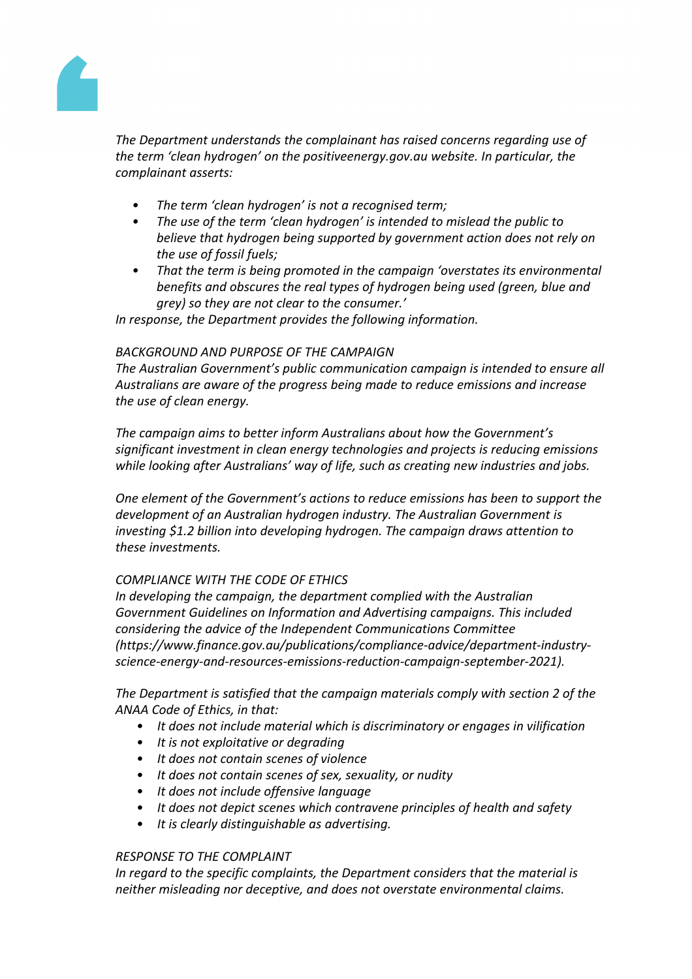

*The Department understands the complainant has raised concerns regarding use of the term 'clean hydrogen' on the positiveenergy.gov.au website. In particular, the complainant asserts:*

- *• The term 'clean hydrogen' is not a recognised term;*
- *• The use of the term 'clean hydrogen' is intended to mislead the public to believe that hydrogen being supported by government action does not rely on the use of fossil fuels;*
- *• That the term is being promoted in the campaign 'overstates its environmental benefits and obscures the real types of hydrogen being used (green, blue and grey) so they are not clear to the consumer.'*

*In response, the Department provides the following information.*

## *BACKGROUND AND PURPOSE OF THE CAMPAIGN*

*The Australian Government's public communication campaign is intended to ensure all Australians are aware of the progress being made to reduce emissions and increase the use of clean energy.*

*The campaign aims to better inform Australians about how the Government's significant investment in clean energy technologies and projects is reducing emissions while looking after Australians' way of life, such as creating new industries and jobs.*

*One element of the Government's actions to reduce emissions has been to support the development of an Australian hydrogen industry. The Australian Government is investing \$1.2 billion into developing hydrogen. The campaign draws attention to these investments.*

# *COMPLIANCE WITH THE CODE OF ETHICS*

*In developing the campaign, the department complied with the Australian Government Guidelines on Information and Advertising campaigns. This included considering the advice of the Independent Communications Committee (https://www.finance.gov.au/publications/compliance-advice/department-industryscience-energy-and-resources-emissions-reduction-campaign-september-2021).*

*The Department is satisfied that the campaign materials comply with section 2 of the ANAA Code of Ethics, in that:*

- *• It does not include material which is discriminatory or engages in vilification*
- *• It is not exploitative or degrading*
- *• It does not contain scenes of violence*
- *• It does not contain scenes of sex, sexuality, or nudity*
- *• It does not include offensive language*
- *• It does not depict scenes which contravene principles of health and safety*
- *• It is clearly distinguishable as advertising.*

## *RESPONSE TO THE COMPLAINT*

*In regard to the specific complaints, the Department considers that the material is neither misleading nor deceptive, and does not overstate environmental claims.*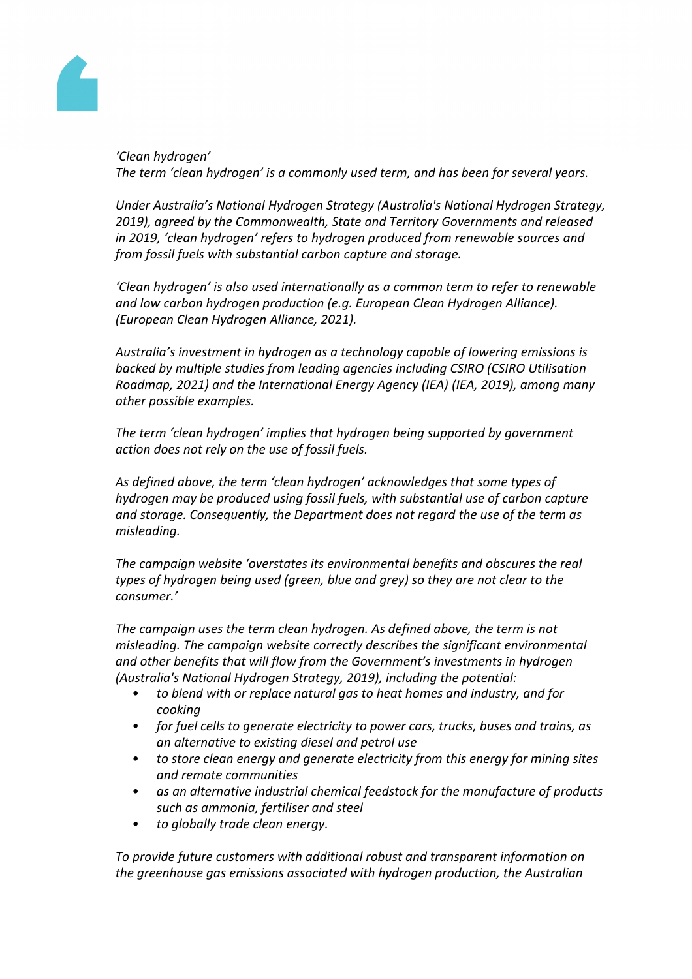

*'Clean hydrogen' The term 'clean hydrogen' is a commonly used term, and has been for several years.*

*Under Australia's National Hydrogen Strategy (Australia's National Hydrogen Strategy, 2019), agreed by the Commonwealth, State and Territory Governments and released in 2019, 'clean hydrogen' refers to hydrogen produced from renewable sources and from fossil fuels with substantial carbon capture and storage.*

*'Clean hydrogen' is also used internationally as a common term to refer to renewable and low carbon hydrogen production (e.g. European Clean Hydrogen Alliance). (European Clean Hydrogen Alliance, 2021).*

*Australia's investment in hydrogen as a technology capable of lowering emissions is backed by multiple studies from leading agencies including CSIRO (CSIRO Utilisation Roadmap, 2021) and the International Energy Agency (IEA) (IEA, 2019), among many other possible examples.*

*The term 'clean hydrogen' implies that hydrogen being supported by government action does not rely on the use of fossil fuels.*

*As defined above, the term 'clean hydrogen' acknowledges that some types of hydrogen may be produced using fossil fuels, with substantial use of carbon capture and storage. Consequently, the Department does not regard the use of the term as misleading.*

*The campaign website 'overstates its environmental benefits and obscures the real types of hydrogen being used (green, blue and grey) so they are not clear to the consumer.'*

*The campaign uses the term clean hydrogen. As defined above, the term is not misleading. The campaign website correctly describes the significant environmental and other benefits that will flow from the Government's investments in hydrogen (Australia's National Hydrogen Strategy, 2019), including the potential:*

- *• to blend with or replace natural gas to heat homes and industry, and for cooking*
- *• for fuel cells to generate electricity to power cars, trucks, buses and trains, as an alternative to existing diesel and petrol use*
- *• to store clean energy and generate electricity from this energy for mining sites and remote communities*
- *• as an alternative industrial chemical feedstock for the manufacture of products such as ammonia, fertiliser and steel*
- *• to globally trade clean energy.*

*To provide future customers with additional robust and transparent information on the greenhouse gas emissions associated with hydrogen production, the Australian*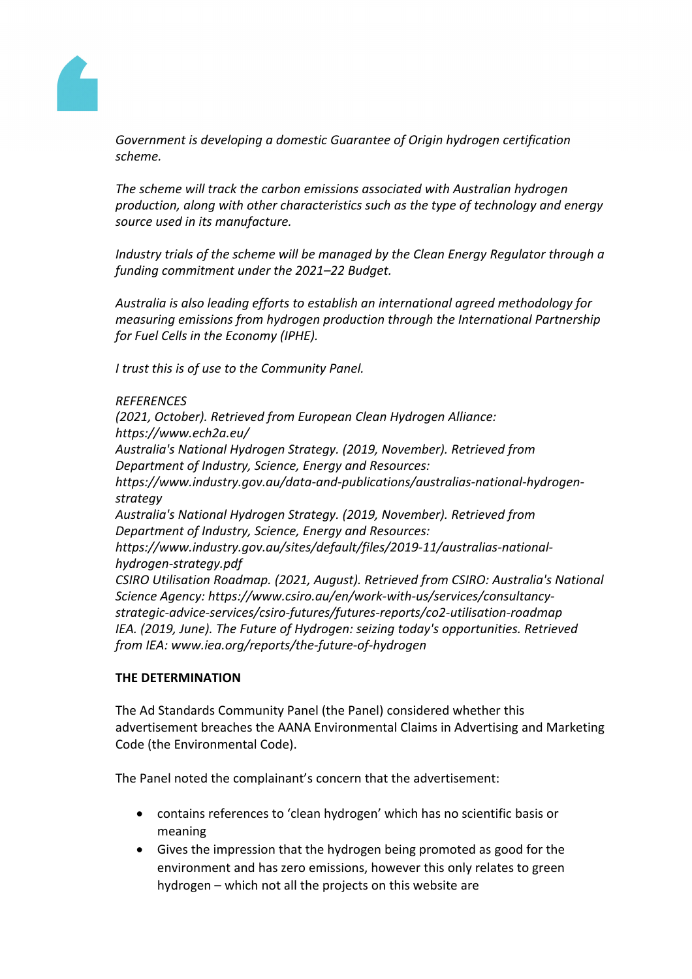

*Government is developing a domestic Guarantee of Origin hydrogen certification scheme.*

*The scheme will track the carbon emissions associated with Australian hydrogen production, along with other characteristics such as the type of technology and energy source used in its manufacture.*

*Industry trials of the scheme will be managed by the Clean Energy Regulator through a funding commitment under the 2021–22 Budget.*

*Australia is also leading efforts to establish an international agreed methodology for measuring emissions from hydrogen production through the International Partnership for Fuel Cells in the Economy (IPHE).*

*I trust this is of use to the Community Panel.*

## *REFERENCES*

*(2021, October). Retrieved from European Clean Hydrogen Alliance: https://www.ech2a.eu/ Australia's National Hydrogen Strategy. (2019, November). Retrieved from Department of Industry, Science, Energy and Resources: https://www.industry.gov.au/data-and-publications/australias-national-hydrogenstrategy Australia's National Hydrogen Strategy. (2019, November). Retrieved from Department of Industry, Science, Energy and Resources: https://www.industry.gov.au/sites/default/files/2019-11/australias-nationalhydrogen-strategy.pdf CSIRO Utilisation Roadmap. (2021, August). Retrieved from CSIRO: Australia's National Science Agency: https://www.csiro.au/en/work-with-us/services/consultancystrategic-advice-services/csiro-futures/futures-reports/co2-utilisation-roadmap IEA. (2019, June). The Future of Hydrogen: seizing today's opportunities. Retrieved from IEA: www.iea.org/reports/the-future-of-hydrogen*

## **THE DETERMINATION**

The Ad Standards Community Panel (the Panel) considered whether this advertisement breaches the AANA Environmental Claims in Advertising and Marketing Code (the Environmental Code).

The Panel noted the complainant's concern that the advertisement:

- contains references to 'clean hydrogen' which has no scientific basis or meaning
- Gives the impression that the hydrogen being promoted as good for the environment and has zero emissions, however this only relates to green hydrogen – which not all the projects on this website are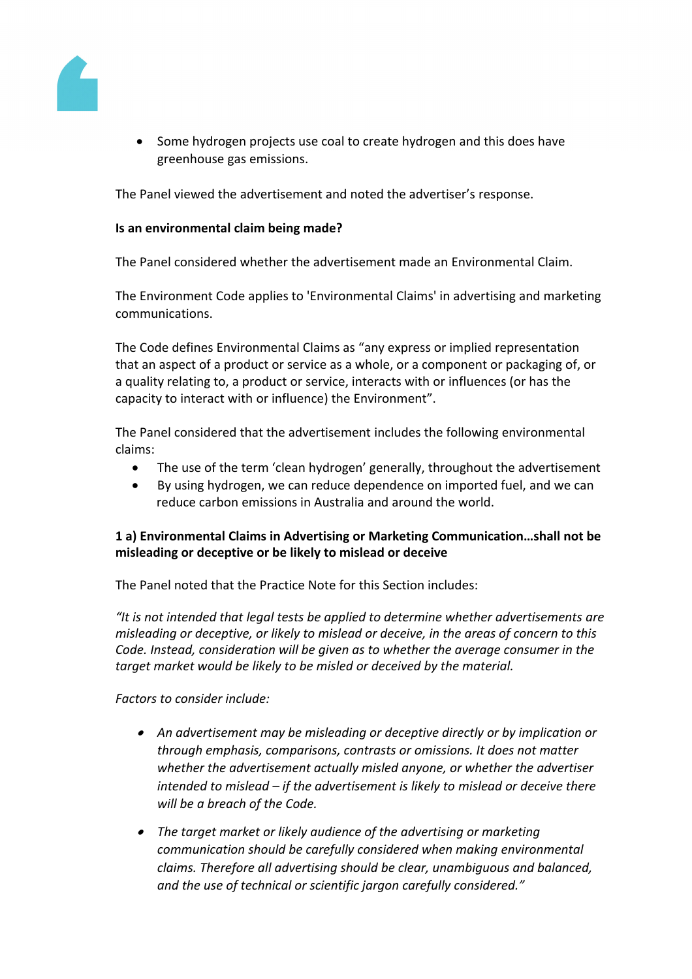

• Some hydrogen projects use coal to create hydrogen and this does have greenhouse gas emissions.

The Panel viewed the advertisement and noted the advertiser's response.

## **Is an environmental claim being made?**

The Panel considered whether the advertisement made an Environmental Claim.

The Environment Code applies to 'Environmental Claims' in advertising and marketing communications.

The Code defines Environmental Claims as "any express or implied representation that an aspect of a product or service as a whole, or a component or packaging of, or a quality relating to, a product or service, interacts with or influences (or has the capacity to interact with or influence) the Environment".

The Panel considered that the advertisement includes the following environmental claims:

- The use of the term 'clean hydrogen' generally, throughout the advertisement
- By using hydrogen, we can reduce dependence on imported fuel, and we can reduce carbon emissions in Australia and around the world.

# **1 a) Environmental Claims in Advertising or Marketing Communication…shall not be misleading or deceptive or be likely to mislead or deceive**

The Panel noted that the Practice Note for this Section includes:

*"It is not intended that legal tests be applied to determine whether advertisements are misleading or deceptive, or likely to mislead or deceive, in the areas of concern to this Code. Instead, consideration will be given as to whether the average consumer in the target market would be likely to be misled or deceived by the material.*

*Factors to consider include:*

- *An advertisement may be misleading or deceptive directly or by implication or through emphasis, comparisons, contrasts or omissions. It does not matter whether the advertisement actually misled anyone, or whether the advertiser intended to mislead – if the advertisement is likely to mislead or deceive there will be a breach of the Code.*
- *The target market or likely audience of the advertising or marketing communication should be carefully considered when making environmental claims. Therefore all advertising should be clear, unambiguous and balanced, and the use of technical or scientific jargon carefully considered."*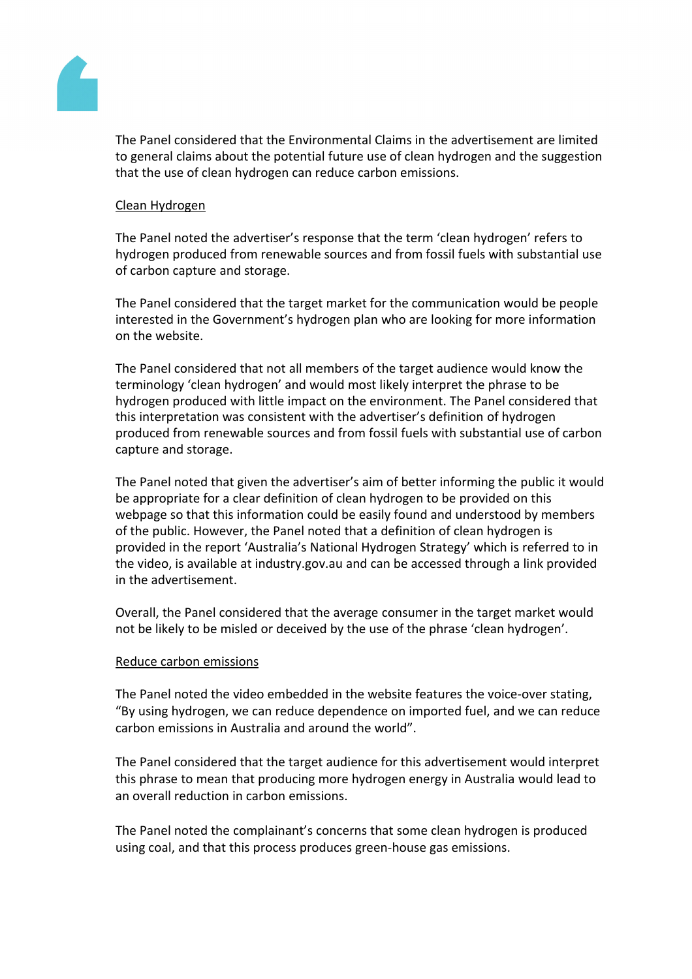

The Panel considered that the Environmental Claims in the advertisement are limited to general claims about the potential future use of clean hydrogen and the suggestion that the use of clean hydrogen can reduce carbon emissions.

## Clean Hydrogen

The Panel noted the advertiser's response that the term 'clean hydrogen' refers to hydrogen produced from renewable sources and from fossil fuels with substantial use of carbon capture and storage.

The Panel considered that the target market for the communication would be people interested in the Government's hydrogen plan who are looking for more information on the website.

The Panel considered that not all members of the target audience would know the terminology 'clean hydrogen' and would most likely interpret the phrase to be hydrogen produced with little impact on the environment. The Panel considered that this interpretation was consistent with the advertiser's definition of hydrogen produced from renewable sources and from fossil fuels with substantial use of carbon capture and storage.

The Panel noted that given the advertiser's aim of better informing the public it would be appropriate for a clear definition of clean hydrogen to be provided on this webpage so that this information could be easily found and understood by members of the public. However, the Panel noted that a definition of clean hydrogen is provided in the report 'Australia's National Hydrogen Strategy' which is referred to in the video, is available at industry.gov.au and can be accessed through a link provided in the advertisement.

Overall, the Panel considered that the average consumer in the target market would not be likely to be misled or deceived by the use of the phrase 'clean hydrogen'.

## Reduce carbon emissions

The Panel noted the video embedded in the website features the voice-over stating, "By using hydrogen, we can reduce dependence on imported fuel, and we can reduce carbon emissions in Australia and around the world".

The Panel considered that the target audience for this advertisement would interpret this phrase to mean that producing more hydrogen energy in Australia would lead to an overall reduction in carbon emissions.

The Panel noted the complainant's concerns that some clean hydrogen is produced using coal, and that this process produces green-house gas emissions.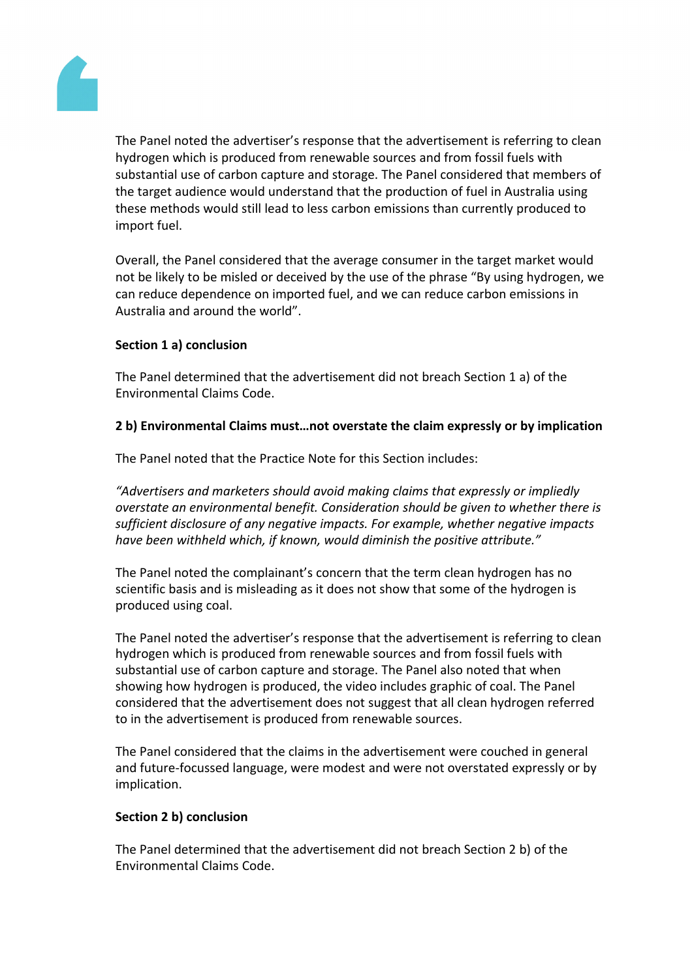

The Panel noted the advertiser's response that the advertisement is referring to clean hydrogen which is produced from renewable sources and from fossil fuels with substantial use of carbon capture and storage. The Panel considered that members of the target audience would understand that the production of fuel in Australia using these methods would still lead to less carbon emissions than currently produced to import fuel.

Overall, the Panel considered that the average consumer in the target market would not be likely to be misled or deceived by the use of the phrase "By using hydrogen, we can reduce dependence on imported fuel, and we can reduce carbon emissions in Australia and around the world".

# **Section 1 a) conclusion**

The Panel determined that the advertisement did not breach Section 1 a) of the Environmental Claims Code.

# **2 b) Environmental Claims must…not overstate the claim expressly or by implication**

The Panel noted that the Practice Note for this Section includes:

*"Advertisers and marketers should avoid making claims that expressly or impliedly overstate an environmental benefit. Consideration should be given to whether there is sufficient disclosure of any negative impacts. For example, whether negative impacts have been withheld which, if known, would diminish the positive attribute."*

The Panel noted the complainant's concern that the term clean hydrogen has no scientific basis and is misleading as it does not show that some of the hydrogen is produced using coal.

The Panel noted the advertiser's response that the advertisement is referring to clean hydrogen which is produced from renewable sources and from fossil fuels with substantial use of carbon capture and storage. The Panel also noted that when showing how hydrogen is produced, the video includes graphic of coal. The Panel considered that the advertisement does not suggest that all clean hydrogen referred to in the advertisement is produced from renewable sources.

The Panel considered that the claims in the advertisement were couched in general and future-focussed language, were modest and were not overstated expressly or by implication.

## **Section 2 b) conclusion**

The Panel determined that the advertisement did not breach Section 2 b) of the Environmental Claims Code.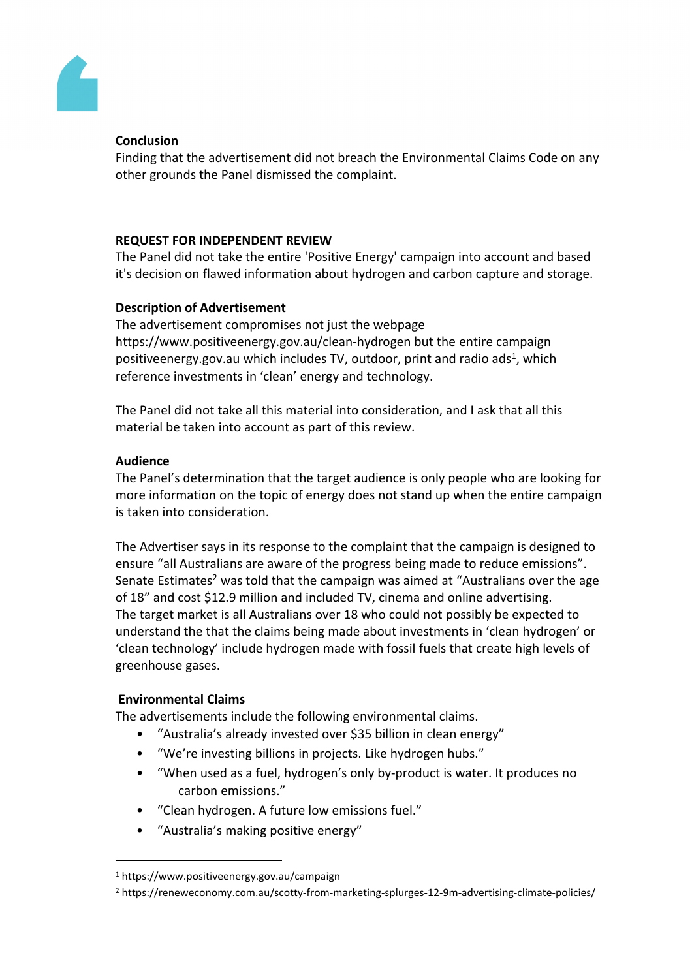# Conclusion

Finding that the advertisemend not breach the Environmenta Claims Code on any other grounds thePanel dismissed the complaint.

# REQUESTOR INDEPENDENT VIEW

ThePanel did notake the entire 'Positive Energy ampaigninto accountand based it's decisionon flawedinformationabouthydrogenandcarboncapture andstorage.

# Description of Advertisement

Theadvertisement compromises notust the webpage [https://www.positiveenergy.gov.au/clean-hydrog](https://www.positiveenergy.gov.au/clean-hydrogen)en but the tire campaign positiveenergy.gov.au which includes *butdoor*, printand radio ads which reference investmentsn 'clean' energyand technology.

ThePanel did notake allthis material into consideration, andask thatall this material be takeninto account aspart of this review.

# Audience

ThePanel's determination thatthe target audiences only peoplewho are lookingfor more informationon the topicof energydoes notstandup whenthe entirecampaign is takeninto consideration.

TheAdvertiser says its response to the complaint that the ampaign is designed to ensure all Australians are aware of the progressingmadeto reduceemissions". Senate Estimate wastold that the campaign was aimed "Australians overthe age of 18" and cost \$12.9 million and cluded TV cinemaand online advertising. Thetarget marketis allAustralians over 8 who could nopossibly be expecteto understand the thatthe claims beingmade about investments in 'cleanydrogen' or 'clean technology' include hydrogen made with fotseils thatcreatehigh levelsof greenhouse gases.

# EnvironmentalClaims

Theadvertisementsinclude thefollowing environmental claims.

- "Australia'salreadyinvested over\$35 billion inclean energy"
- "We're investingbillions in projectsLike hydrogen hubs."
- "When used as fauel, hydrogen's poly by-products water. It produces no carbon emissions."
- "Clean hydrogen. Auture low emissionsfuel."
- "Australia'smakingpositive energy"

<sup>1</sup> https://www.positiveenergy.gov.au/campaign

<sup>2</sup> https://reneweconomy.com.au/scotty-from-marketing-splurges-12-9m-advertising-climate-policies/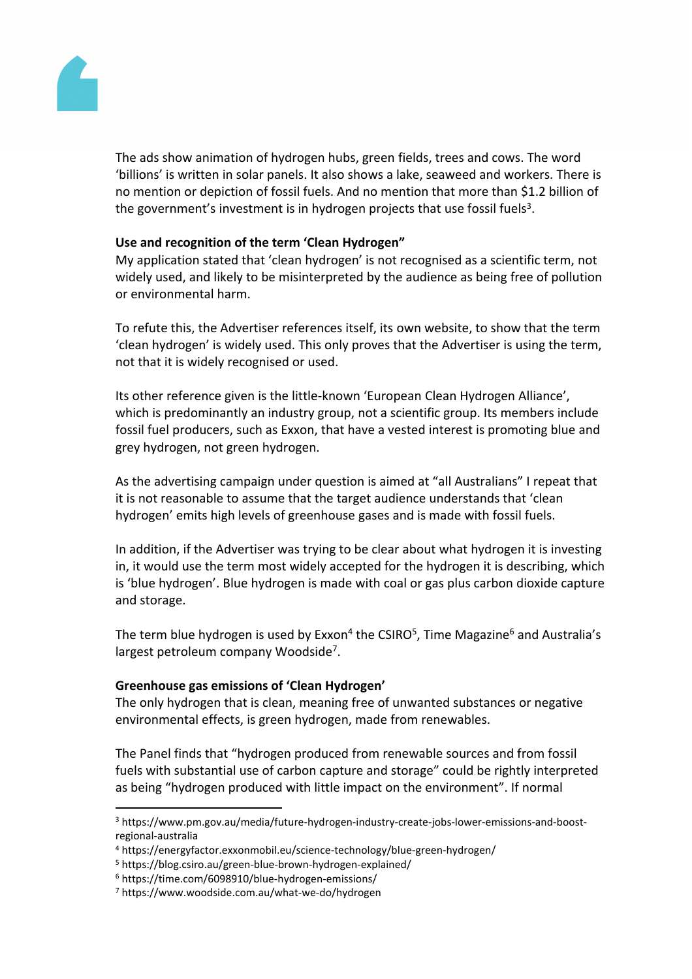

The ads show animation of hydrogen hubs, green fields, trees and cows. The word 'billions' is written in solar panels. It also shows a lake, seaweed and workers. There is no mention or depiction of fossil fuels. And no mention that more than \$1.2 billion of the government's investment is in hydrogen projects that use fossil fuels<sup>3</sup>.

## **Use and recognition of the term 'Clean Hydrogen"**

My application stated that 'clean hydrogen' is not recognised as a scientific term, not widely used, and likely to be misinterpreted by the audience as being free of pollution or environmental harm.

To refute this, the Advertiser references itself, its own website, to show that the term 'clean hydrogen' is widely used. This only proves that the Advertiser is using the term, not that it is widely recognised or used.

Its other reference given is the little-known 'European Clean Hydrogen Alliance', which is predominantly an industry group, not a scientific group. Its members include fossil fuel producers, such as Exxon, that have a vested interest is promoting blue and grey hydrogen, not green hydrogen.

As the advertising campaign under question is aimed at "all Australians" I repeat that it is not reasonable to assume that the target audience understands that 'clean hydrogen' emits high levels of greenhouse gases and is made with fossil fuels.

In addition, if the Advertiser was trying to be clear about what hydrogen it is investing in, it would use the term most widely accepted for the hydrogen it is describing, which is 'blue hydrogen'. Blue hydrogen is made with coal or gas plus carbon dioxide capture and storage.

The term blue hydrogen is used by Exxon<sup>4</sup> the CSIRO<sup>5</sup>, Time Magazine<sup>6</sup> and Australia's largest petroleum company Woodside<sup>7</sup>.

## **Greenhouse gas emissions of 'Clean Hydrogen'**

The only hydrogen that is clean, meaning free of unwanted substances or negative environmental effects, is green hydrogen, made from renewables.

The Panel finds that "hydrogen produced from renewable sources and from fossil fuels with substantial use of carbon capture and storage" could be rightly interpreted as being "hydrogen produced with little impact on the environment". If normal

<sup>3</sup> https://www.pm.gov.au/media/future-hydrogen-industry-create-jobs-lower-emissions-and-boostregional-australia

<sup>4</sup> https://energyfactor.exxonmobil.eu/science-technology/blue-green-hydrogen/

<sup>5</sup> https://blog.csiro.au/green-blue-brown-hydrogen-explained/

<sup>6</sup> https://time.com/6098910/blue-hydrogen-emissions/

<sup>7</sup> https://www.woodside.com.au/what-we-do/hydrogen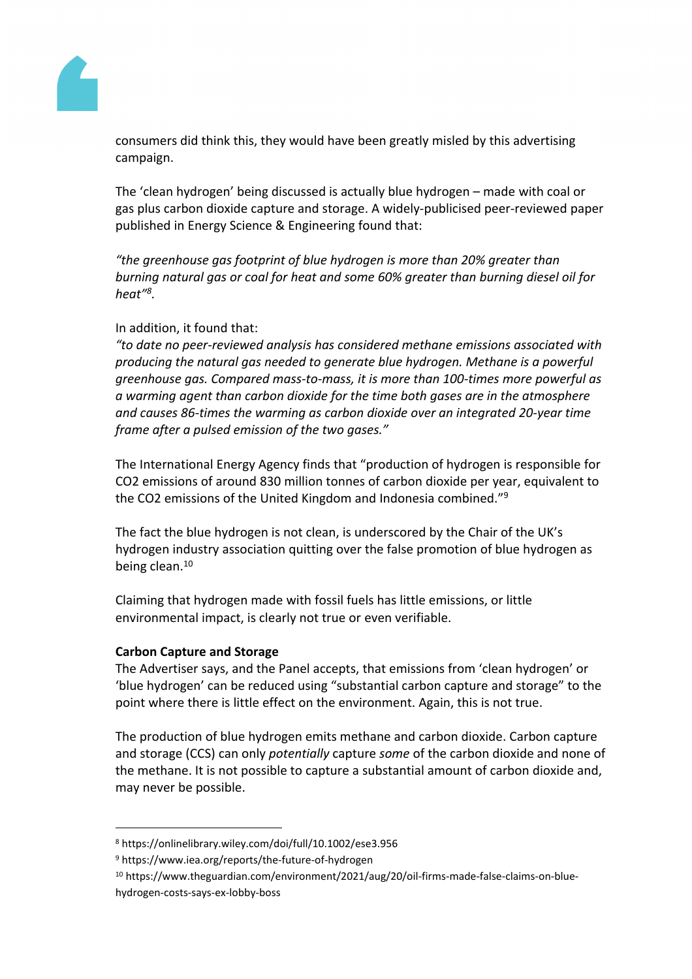

consumers did think this, they would have been greatly misled by this advertising campaign.

The 'clean hydrogen' being discussed is actually blue hydrogen – made with coal or gas plus carbon dioxide capture and storage. A widely-publicised peer-reviewed paper published in Energy Science & Engineering found that:

*"the greenhouse gas footprint of blue hydrogen is more than 20% greater than burning natural gas or coal for heat and some 60% greater than burning diesel oil for heat"<sup>8</sup> .*

# In addition, it found that:

*"to date no peer-reviewed analysis has considered methane emissions associated with producing the natural gas needed to generate blue hydrogen. Methane is a powerful greenhouse gas. Compared mass-to-mass, it is more than 100-times more powerful as a warming agent than carbon dioxide for the time both gases are in the atmosphere and causes 86-times the warming as carbon dioxide over an integrated 20-year time frame after a pulsed emission of the two gases."*

The International Energy Agency finds that "production of hydrogen is responsible for CO2 emissions of around 830 million tonnes of carbon dioxide per year, equivalent to the CO2 emissions of the United Kingdom and Indonesia combined."<sup>9</sup>

The fact the blue hydrogen is not clean, is underscored by the Chair of the UK's hydrogen industry association quitting over the false promotion of blue hydrogen as being clean.<sup>10</sup>

Claiming that hydrogen made with fossil fuels has little emissions, or little environmental impact, is clearly not true or even verifiable.

## **Carbon Capture and Storage**

The Advertiser says, and the Panel accepts, that emissions from 'clean hydrogen' or 'blue hydrogen' can be reduced using "substantial carbon capture and storage" to the point where there is little effect on the environment. Again, this is not true.

The production of blue hydrogen emits methane and carbon dioxide. Carbon capture and storage (CCS) can only *potentially* capture *some* of the carbon dioxide and none of the methane. It is not possible to capture a substantial amount of carbon dioxide and, may never be possible.

<sup>8</sup> https://onlinelibrary.wiley.com/doi/full/10.1002/ese3.956

<sup>9</sup> https://www.iea.org/reports/the-future-of-hydrogen

<sup>10</sup> https://www.theguardian.com/environment/2021/aug/20/oil-firms-made-false-claims-on-bluehydrogen-costs-says-ex-lobby-boss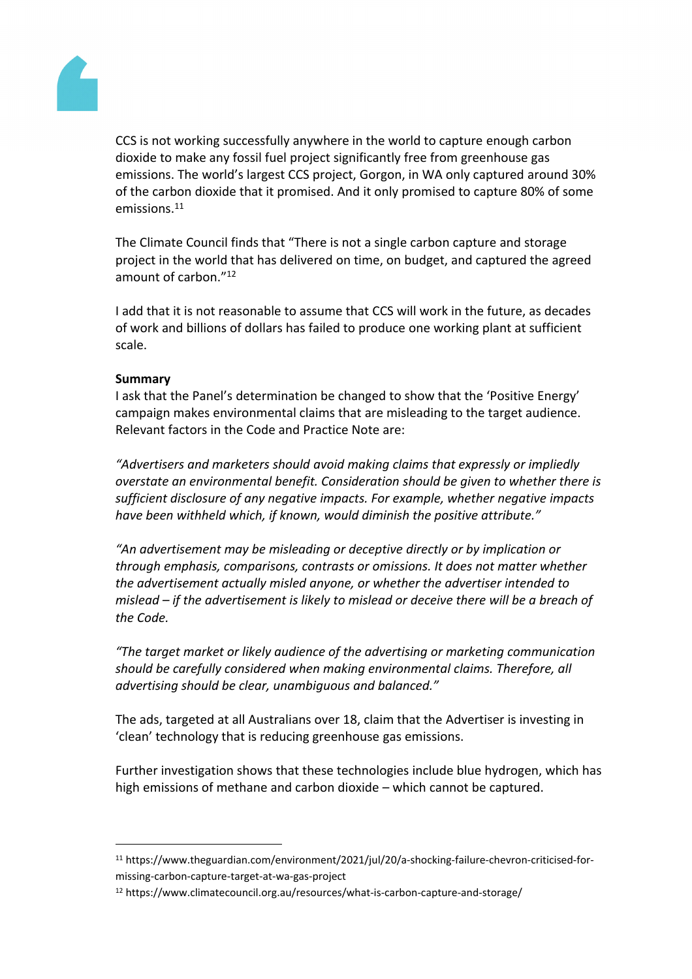

CCS is not working successfully anywhere in the world to capture enough carbon dioxide to make any fossil fuel project significantly free from greenhouse gas emissions. The world's largest CCS project, Gorgon, in WA only captured around 30% of the carbon dioxide that it promised. And it only promised to capture 80% of some emissions.<sup>11</sup>

The Climate Council finds that "There is not a single carbon capture and storage project in the world that has delivered on time, on budget, and captured the agreed amount of carbon."<sup>12</sup>

I add that it is not reasonable to assume that CCS will work in the future, as decades of work and billions of dollars has failed to produce one working plant at sufficient scale.

# **Summary**

I ask that the Panel's determination be changed to show that the 'Positive Energy' campaign makes environmental claims that are misleading to the target audience. Relevant factors in the Code and Practice Note are:

*"Advertisers and marketers should avoid making claims that expressly or impliedly overstate an environmental benefit. Consideration should be given to whether there is sufficient disclosure of any negative impacts. For example, whether negative impacts have been withheld which, if known, would diminish the positive attribute."*

*"An advertisement may be misleading or deceptive directly or by implication or through emphasis, comparisons, contrasts or omissions. It does not matter whether the advertisement actually misled anyone, or whether the advertiser intended to mislead – if the advertisement is likely to mislead or deceive there will be a breach of the Code.*

*"The target market or likely audience of the advertising or marketing communication should be carefully considered when making environmental claims. Therefore, all advertising should be clear, unambiguous and balanced."*

The ads, targeted at all Australians over 18, claim that the Advertiser is investing in 'clean' technology that is reducing greenhouse gas emissions.

Further investigation shows that these technologies include blue hydrogen, which has high emissions of methane and carbon dioxide – which cannot be captured.

<sup>11</sup> https://www.theguardian.com/environment/2021/jul/20/a-shocking-failure-chevron-criticised-formissing-carbon-capture-target-at-wa-gas-project

<sup>12</sup> https://www.climatecouncil.org.au/resources/what-is-carbon-capture-and-storage/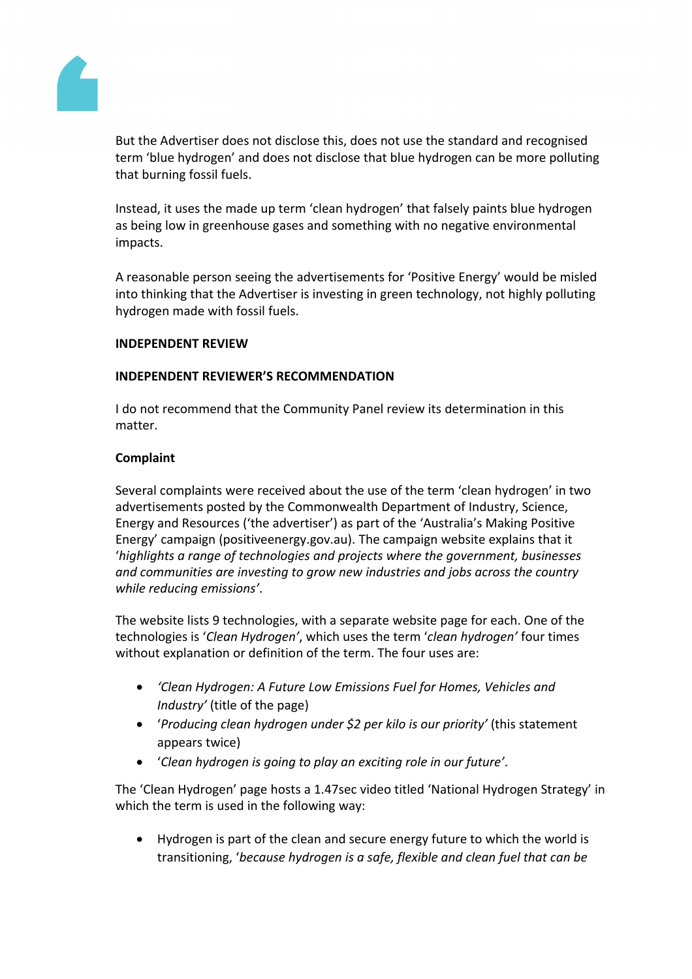

But the Advertiser does not disclose this, does not use the standard and recognised term 'blue hydrogen' and does not disclose that blue hydrogen can be more polluting that burning fossil fuels.

Instead, it uses the made up term 'clean hydrogen' that falsely paints blue hydrogen as being low in greenhouse gases and something with no negative environmental impacts.

A reasonable person seeing the advertisements for 'Positive Energy' would be misled into thinking that the Advertiser is investing in green technology, not highly polluting hydrogen made with fossil fuels.

## **INDEPENDENT REVIEW**

# **INDEPENDENT REVIEWER'S RECOMMENDATION**

I do not recommend that the Community Panel review its determination in this matter.

# **Complaint**

Several complaints were received about the use of the term 'clean hydrogen' in two advertisements posted by the Commonwealth Department of Industry, Science, Energy and Resources ('the advertiser') as part of the 'Australia's Making Positive Energy' campaign (positiveenergy.gov.au). The campaign website explains that it '*highlights a range of technologies and projects where the government, businesses and communities are investing to grow new industries and jobs across the country while reducing emissions'*.

The website lists 9 technologies, with a separate website page for each. One of the technologies is '*Clean Hydrogen'*, which uses the term '*clean hydrogen'* four times without explanation or definition of the term. The four uses are:

- *'Clean Hydrogen: A Future Low Emissions Fuel for Homes, Vehicles and Industry'* (title of the page)
- '*Producing clean hydrogen under \$2 per kilo is our priority'* (this statement appears twice)
- '*Clean hydrogen is going to play an exciting role in our future'*.

The 'Clean Hydrogen' page hosts a 1.47sec video titled 'National Hydrogen Strategy' in which the term is used in the following way:

 Hydrogen is part of the clean and secure energy future to which the world is transitioning, '*because hydrogen is a safe, flexible and clean fuel that can be*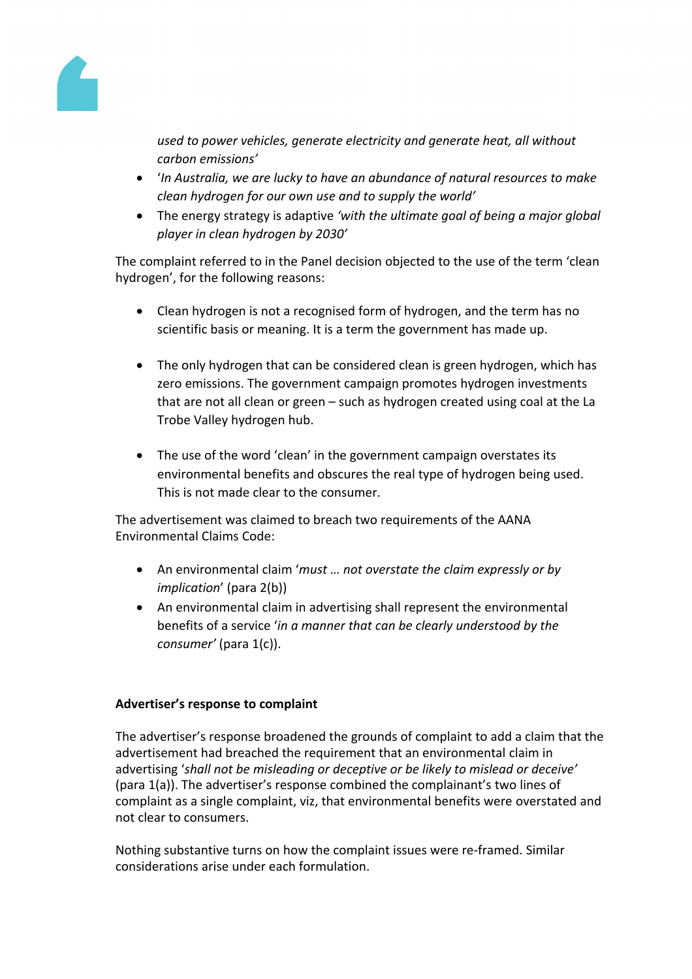

*used to power vehicles, generate electricity and generate heat, all without carbon emissions'*

- '*In Australia, we are lucky to have an abundance of natural resources to make clean hydrogen for our own use and to supply the world'*
- The energy strategy is adaptive *'with the ultimate goal of being a major global player in clean hydrogen by 2030'*

The complaint referred to in the Panel decision objected to the use of the term 'clean hydrogen', for the following reasons:

- Clean hydrogen is not a recognised form of hydrogen, and the term has no scientific basis or meaning. It is a term the government has made up.
- The only hydrogen that can be considered clean is green hydrogen, which has zero emissions. The government campaign promotes hydrogen investments that are not all clean or green – such as hydrogen created using coal at the La Trobe Valley hydrogen hub.
- The use of the word 'clean' in the government campaign overstates its environmental benefits and obscures the real type of hydrogen being used. This is not made clear to the consumer.

The advertisement was claimed to breach two requirements of the AANA Environmental Claims Code:

- An environmental claim '*must … not overstate the claim expressly or by implication*' (para 2(b))
- An environmental claim in advertising shall represent the environmental benefits of a service '*in a manner that can be clearly understood by the consumer'* (para 1(c)).

# **Advertiser's response to complaint**

The advertiser's response broadened the grounds of complaint to add a claim that the advertisement had breached the requirement that an environmental claim in advertising '*shall not be misleading or deceptive or be likely to mislead or deceive'* (para 1(a)). The advertiser's response combined the complainant's two lines of complaint as a single complaint, viz, that environmental benefits were overstated and not clear to consumers.

Nothing substantive turns on how the complaint issues were re-framed. Similar considerations arise under each formulation.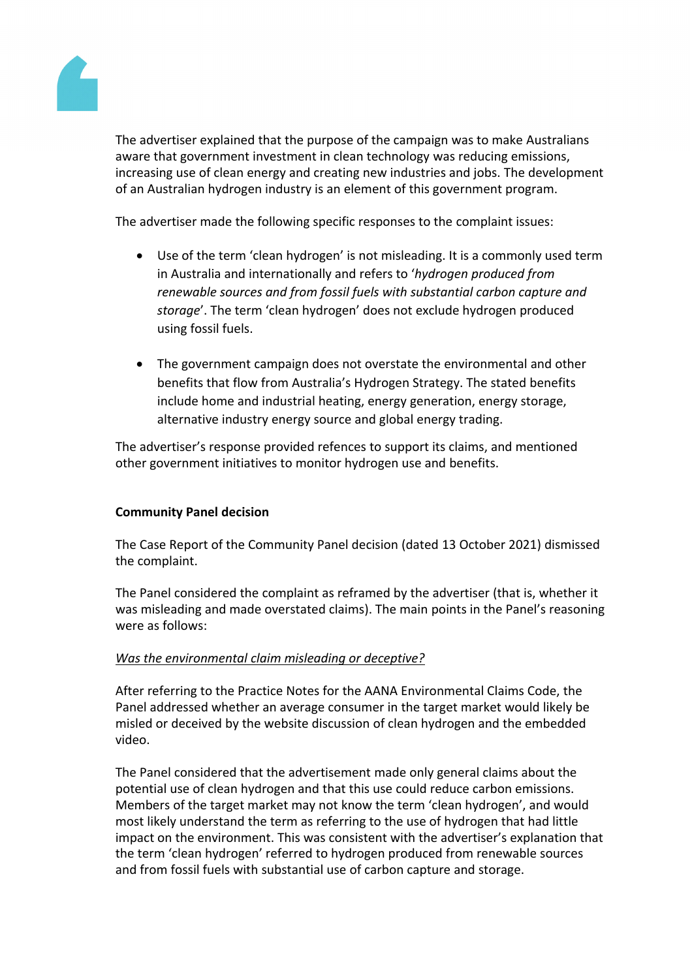

The advertiser explained that the purpose of the campaign was to make Australians aware that government investment in clean technology was reducing emissions, increasing use of clean energy and creating new industries and jobs. The development of an Australian hydrogen industry is an element of this government program.

The advertiser made the following specific responses to the complaint issues:

- Use of the term 'clean hydrogen' is not misleading. It is a commonly used term in Australia and internationally and refers to '*hydrogen produced from renewable sources and from fossil fuels with substantial carbon capture and storage*'. The term 'clean hydrogen' does not exclude hydrogen produced using fossil fuels.
- The government campaign does not overstate the environmental and other benefits that flow from Australia's Hydrogen Strategy. The stated benefits include home and industrial heating, energy generation, energy storage, alternative industry energy source and global energy trading.

The advertiser's response provided refences to support its claims, and mentioned other government initiatives to monitor hydrogen use and benefits.

# **Community Panel decision**

The Case Report of the Community Panel decision (dated 13 October 2021) dismissed the complaint.

The Panel considered the complaint as reframed by the advertiser (that is, whether it was misleading and made overstated claims). The main points in the Panel's reasoning were as follows:

## *Was the environmental claim misleading or deceptive?*

After referring to the Practice Notes for the AANA Environmental Claims Code, the Panel addressed whether an average consumer in the target market would likely be misled or deceived by the website discussion of clean hydrogen and the embedded video.

The Panel considered that the advertisement made only general claims about the potential use of clean hydrogen and that this use could reduce carbon emissions. Members of the target market may not know the term 'clean hydrogen', and would most likely understand the term as referring to the use of hydrogen that had little impact on the environment. This was consistent with the advertiser's explanation that the term 'clean hydrogen' referred to hydrogen produced from renewable sources and from fossil fuels with substantial use of carbon capture and storage.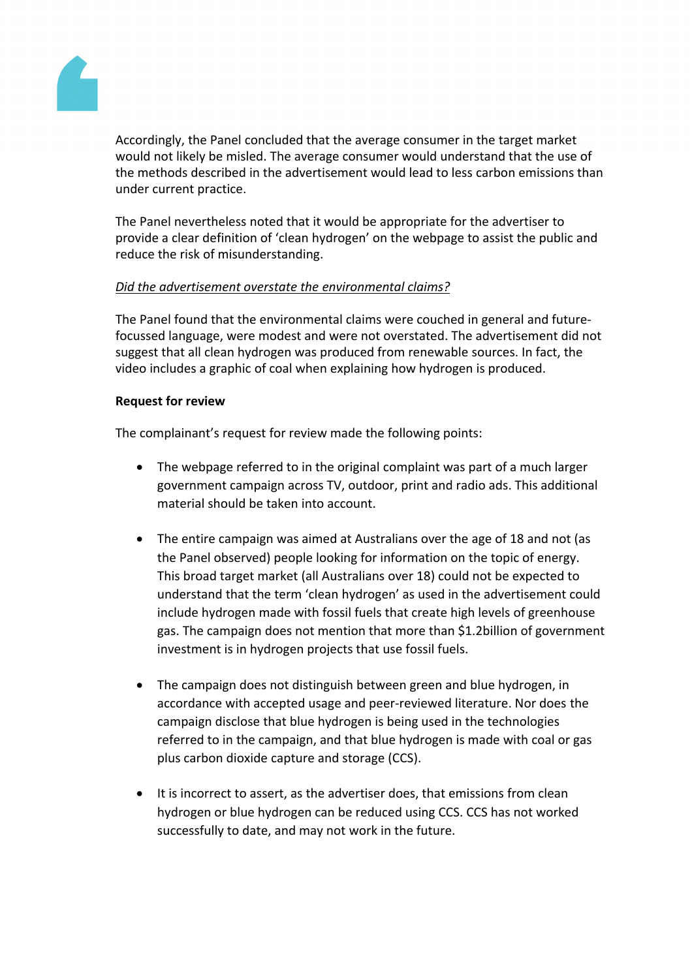

Accordingly, the Panel concluded that the average consumer in the target market would not likely be misled. The average consumer would understand that the use of the methods described in the advertisement would lead to less carbon emissions than under current practice.

The Panel nevertheless noted that it would be appropriate for the advertiser to provide a clear definition of 'clean hydrogen' on the webpage to assist the public and reduce the risk of misunderstanding.

# *Did the advertisement overstate the environmental claims?*

The Panel found that the environmental claims were couched in general and futurefocussed language, were modest and were not overstated. The advertisement did not suggest that all clean hydrogen was produced from renewable sources. In fact, the video includes a graphic of coal when explaining how hydrogen is produced.

## **Request for review**

The complainant's request for review made the following points:

- The webpage referred to in the original complaint was part of a much larger government campaign across TV, outdoor, print and radio ads. This additional material should be taken into account.
- The entire campaign was aimed at Australians over the age of 18 and not (as the Panel observed) people looking for information on the topic of energy. This broad target market (all Australians over 18) could not be expected to understand that the term 'clean hydrogen' as used in the advertisement could include hydrogen made with fossil fuels that create high levels of greenhouse gas. The campaign does not mention that more than \$1.2billion of government investment is in hydrogen projects that use fossil fuels.
- The campaign does not distinguish between green and blue hydrogen, in accordance with accepted usage and peer-reviewed literature. Nor does the campaign disclose that blue hydrogen is being used in the technologies referred to in the campaign, and that blue hydrogen is made with coal or gas plus carbon dioxide capture and storage (CCS).
- It is incorrect to assert, as the advertiser does, that emissions from clean hydrogen or blue hydrogen can be reduced using CCS. CCS has not worked successfully to date, and may not work in the future.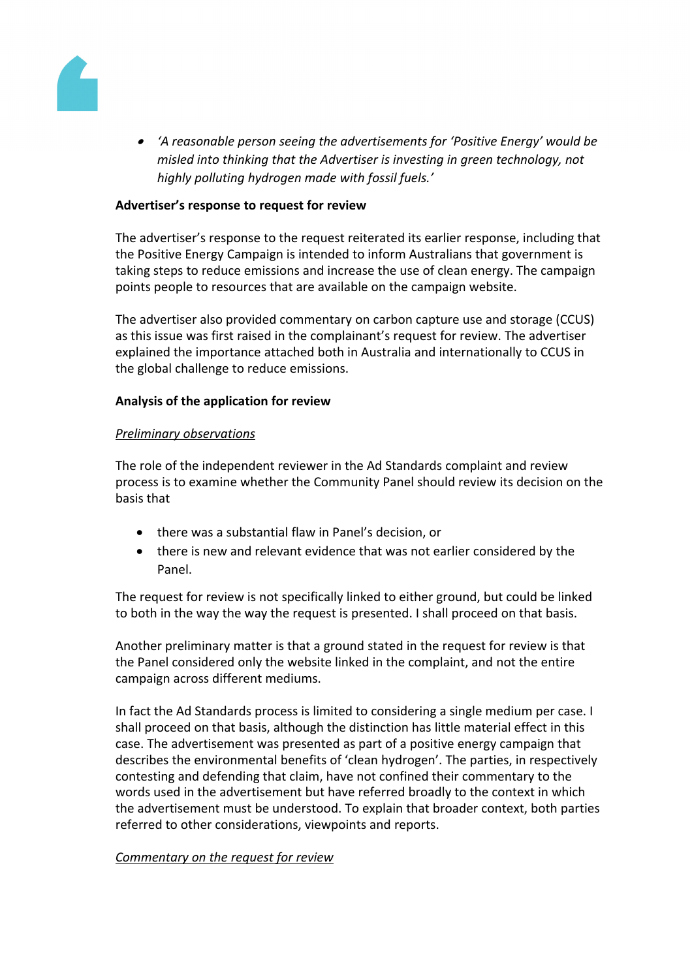

 *'A reasonable person seeing the advertisements for 'Positive Energy' would be misled into thinking that the Advertiser is investing in green technology, not highly polluting hydrogen made with fossil fuels.'*

#### **Advertiser's response to request for review**

The advertiser's response to the request reiterated its earlier response, including that the Positive Energy Campaign is intended to inform Australians that government is taking steps to reduce emissions and increase the use of clean energy. The campaign points people to resources that are available on the campaign website.

The advertiser also provided commentary on carbon capture use and storage (CCUS) as this issue was first raised in the complainant's request for review. The advertiser explained the importance attached both in Australia and internationally to CCUS in the global challenge to reduce emissions.

## **Analysis of the application for review**

#### *Preliminary observations*

The role of the independent reviewer in the Ad Standards complaint and review process is to examine whether the Community Panel should review its decision on the basis that

- there was a substantial flaw in Panel's decision, or
- there is new and relevant evidence that was not earlier considered by the Panel.

The request for review is not specifically linked to either ground, but could be linked to both in the way the way the request is presented. I shall proceed on that basis.

Another preliminary matter is that a ground stated in the request for review is that the Panel considered only the website linked in the complaint, and not the entire campaign across different mediums.

In fact the Ad Standards process is limited to considering a single medium per case. I shall proceed on that basis, although the distinction has little material effect in this case. The advertisement was presented as part of a positive energy campaign that describes the environmental benefits of 'clean hydrogen'. The parties, in respectively contesting and defending that claim, have not confined their commentary to the words used in the advertisement but have referred broadly to the context in which the advertisement must be understood. To explain that broader context, both parties referred to other considerations, viewpoints and reports.

#### *Commentary on the request for review*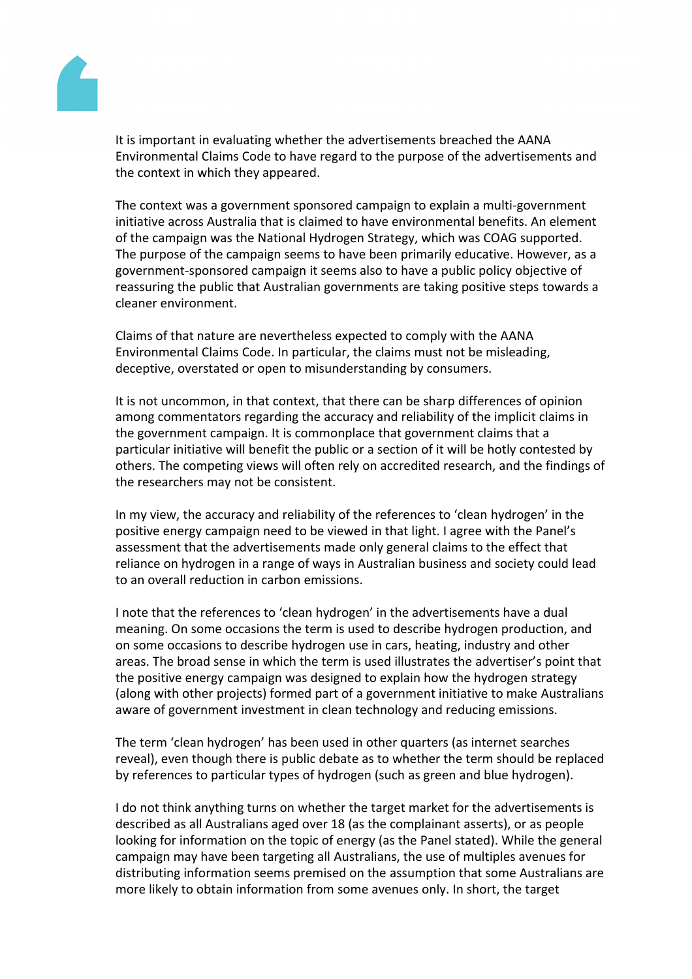

It is important in evaluating whether the advertisements breached the AANA Environmental Claims Code to have regard to the purpose of the advertisements and the context in which they appeared.

The context was a government sponsored campaign to explain a multi-government initiative across Australia that is claimed to have environmental benefits. An element of the campaign was the National Hydrogen Strategy, which was COAG supported. The purpose of the campaign seems to have been primarily educative. However, as a government-sponsored campaign it seems also to have a public policy objective of reassuring the public that Australian governments are taking positive steps towards a cleaner environment.

Claims of that nature are nevertheless expected to comply with the AANA Environmental Claims Code. In particular, the claims must not be misleading, deceptive, overstated or open to misunderstanding by consumers.

It is not uncommon, in that context, that there can be sharp differences of opinion among commentators regarding the accuracy and reliability of the implicit claims in the government campaign. It is commonplace that government claims that a particular initiative will benefit the public or a section of it will be hotly contested by others. The competing views will often rely on accredited research, and the findings of the researchers may not be consistent.

In my view, the accuracy and reliability of the references to 'clean hydrogen' in the positive energy campaign need to be viewed in that light. I agree with the Panel's assessment that the advertisements made only general claims to the effect that reliance on hydrogen in a range of ways in Australian business and society could lead to an overall reduction in carbon emissions.

I note that the references to 'clean hydrogen' in the advertisements have a dual meaning. On some occasions the term is used to describe hydrogen production, and on some occasions to describe hydrogen use in cars, heating, industry and other areas. The broad sense in which the term is used illustrates the advertiser's point that the positive energy campaign was designed to explain how the hydrogen strategy (along with other projects) formed part of a government initiative to make Australians aware of government investment in clean technology and reducing emissions.

The term 'clean hydrogen' has been used in other quarters (as internet searches reveal), even though there is public debate as to whether the term should be replaced by references to particular types of hydrogen (such as green and blue hydrogen).

I do not think anything turns on whether the target market for the advertisements is described as all Australians aged over 18 (as the complainant asserts), or as people looking for information on the topic of energy (as the Panel stated). While the general campaign may have been targeting all Australians, the use of multiples avenues for distributing information seems premised on the assumption that some Australians are more likely to obtain information from some avenues only. In short, the target